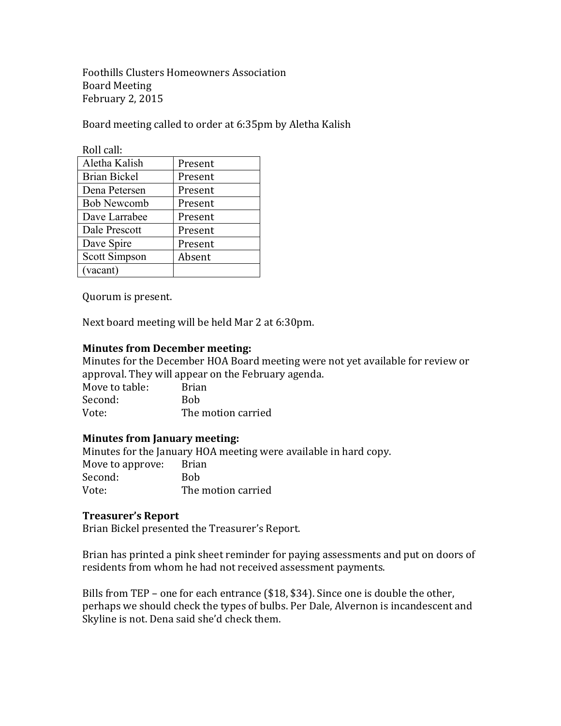Foothills Clusters Homeowners Association Board Meeting February 2, 2015

Board meeting called to order at 6:35pm by Aletha Kalish

| Roll call:          |         |
|---------------------|---------|
| Aletha Kalish       | Present |
| <b>Brian Bickel</b> | Present |
| Dena Petersen       | Present |
| <b>Bob Newcomb</b>  | Present |
| Dave Larrabee       | Present |
| Dale Prescott       | Present |
| Dave Spire          | Present |
| Scott Simpson       | Absent  |
| (vacant)            |         |

Quorum is present.

Next board meeting will be held Mar 2 at 6:30pm.

## **Minutes from December meeting:**

Minutes for the December HOA Board meeting were not yet available for review or approval. They will appear on the February agenda. Move to table: Brian

Second: Bob Vote: The motion carried

## **Minutes from January meeting:**

Minutes for the January HOA meeting were available in hard copy. Move to approve: Brian Second: Bob Vote: The motion carried

#### **Treasurer's Report**

Brian Bickel presented the Treasurer's Report.

Brian has printed a pink sheet reminder for paying assessments and put on doors of residents from whom he had not received assessment payments.

Bills from TEP – one for each entrance  $$18, $34$ . Since one is double the other, perhaps we should check the types of bulbs. Per Dale, Alvernon is incandescent and Skyline is not. Dena said she'd check them.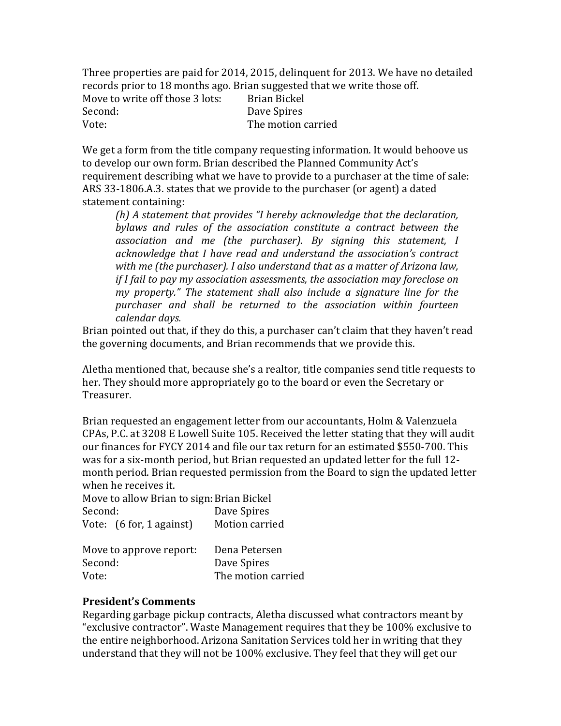Three properties are paid for 2014, 2015, delinguent for 2013. We have no detailed records prior to 18 months ago. Brian suggested that we write those off.

| Move to write off those 3 lots: | Brian Bickel<br>Dave Spires<br>The motion carried |
|---------------------------------|---------------------------------------------------|

We get a form from the title company requesting information. It would behoove us to develop our own form. Brian described the Planned Community Act's requirement describing what we have to provide to a purchaser at the time of sale: ARS 33-1806.A.3. states that we provide to the purchaser (or agent) a dated statement containing:

*(h)* A statement that provides "I hereby acknowledge that the declaration, bylaws and rules of the association constitute a contract between the association and me (the purchaser). By signing this statement, I acknowledge that I have read and understand the association's contract with me (the purchaser). I also understand that as a matter of Arizona law, *if I fail to pay my association assessments, the association may foreclose on my* property." The statement shall also include a signature line for the purchaser and shall be returned to the association within fourteen *calendar days.*

Brian pointed out that, if they do this, a purchaser can't claim that they haven't read the governing documents, and Brian recommends that we provide this.

Aletha mentioned that, because she's a realtor, title companies send title requests to her. They should more appropriately go to the board or even the Secretary or Treasurer.

Brian requested an engagement letter from our accountants, Holm & Valenzuela CPAs, P.C. at 3208 E Lowell Suite 105. Received the letter stating that they will audit our finances for FYCY 2014 and file our tax return for an estimated \$550-700. This was for a six-month period, but Brian requested an updated letter for the full 12month period. Brian requested permission from the Board to sign the updated letter when he receives it.

Move to allow Brian to sign: Brian Bickel Second: Dave Spires Vote: (6 for, 1 against) Motion carried

| Move to approve report: | Dena Petersen      |
|-------------------------|--------------------|
| Second:                 | Dave Spires        |
| Vote:                   | The motion carried |

# **President's Comments**

Regarding garbage pickup contracts, Aletha discussed what contractors meant by "exclusive contractor". Waste Management requires that they be 100% exclusive to the entire neighborhood. Arizona Sanitation Services told her in writing that they understand that they will not be 100% exclusive. They feel that they will get our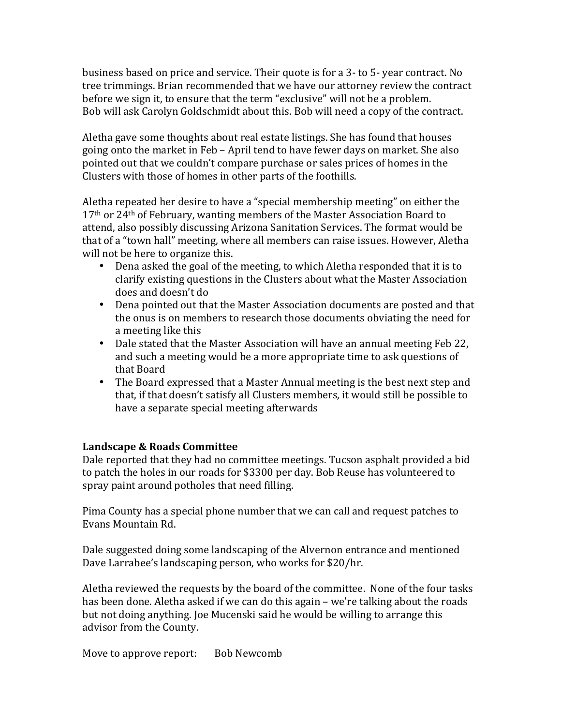business based on price and service. Their quote is for a 3- to 5- year contract. No tree trimmings. Brian recommended that we have our attorney review the contract before we sign it, to ensure that the term "exclusive" will not be a problem. Bob will ask Carolyn Goldschmidt about this. Bob will need a copy of the contract.

Aletha gave some thoughts about real estate listings. She has found that houses going onto the market in Feb – April tend to have fewer days on market. She also pointed out that we couldn't compare purchase or sales prices of homes in the Clusters with those of homes in other parts of the foothills.

Aletha repeated her desire to have a "special membership meeting" on either the  $17<sup>th</sup>$  or 24<sup>th</sup> of February, wanting members of the Master Association Board to attend, also possibly discussing Arizona Sanitation Services. The format would be that of a "town hall" meeting, where all members can raise issues. However, Aletha will not be here to organize this.

- Dena asked the goal of the meeting, to which Aletha responded that it is to clarify existing questions in the Clusters about what the Master Association does and doesn't do
- Dena pointed out that the Master Association documents are posted and that the onus is on members to research those documents obviating the need for a meeting like this
- Dale stated that the Master Association will have an annual meeting Feb 22, and such a meeting would be a more appropriate time to ask questions of that Board
- The Board expressed that a Master Annual meeting is the best next step and that, if that doesn't satisfy all Clusters members, it would still be possible to have a separate special meeting afterwards

## Landscape & Roads Committee

Dale reported that they had no committee meetings. Tucson asphalt provided a bid to patch the holes in our roads for \$3300 per day. Bob Reuse has volunteered to spray paint around potholes that need filling.

Pima County has a special phone number that we can call and request patches to Evans Mountain Rd.

Dale suggested doing some landscaping of the Alvernon entrance and mentioned Dave Larrabee's landscaping person, who works for \$20/hr.

Aletha reviewed the requests by the board of the committee. None of the four tasks has been done. Aletha asked if we can do this again – we're talking about the roads but not doing anything. Joe Mucenski said he would be willing to arrange this advisor from the County.

Move to approve report: Bob Newcomb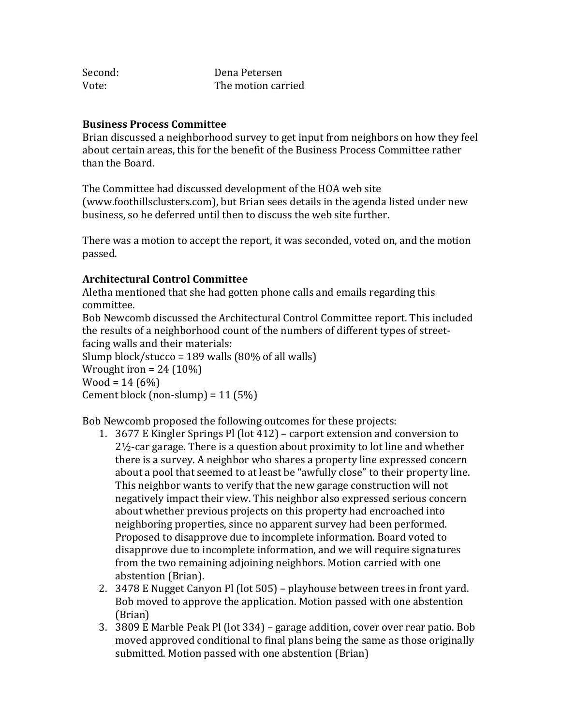| Second: | Dena Petersen      |
|---------|--------------------|
| Vote:   | The motion carried |

### **Business Process Committee**

Brian discussed a neighborhood survey to get input from neighbors on how they feel about certain areas, this for the benefit of the Business Process Committee rather than the Board.

The Committee had discussed development of the HOA web site (www.foothillsclusters.com), but Brian sees details in the agenda listed under new business, so he deferred until then to discuss the web site further.

There was a motion to accept the report, it was seconded, voted on, and the motion passed.

# **Architectural Control Committee**

Aletha mentioned that she had gotten phone calls and emails regarding this committee.

Bob Newcomb discussed the Architectural Control Committee report. This included the results of a neighborhood count of the numbers of different types of streetfacing walls and their materials:

Slump block/stucco = 189 walls  $(80\% \text{ of all walls})$ Wrought iron =  $24(10\%)$  $Wood = 14 (6%)$ Cement block (non-slump) =  $11(5%)$ 

Bob Newcomb proposed the following outcomes for these projects:

- 1. 3677 E Kingler Springs Pl (lot 412) carport extension and conversion to  $2\frac{1}{2}$ -car garage. There is a question about proximity to lot line and whether there is a survey. A neighbor who shares a property line expressed concern about a pool that seemed to at least be "awfully close" to their property line. This neighbor wants to verify that the new garage construction will not negatively impact their view. This neighbor also expressed serious concern about whether previous projects on this property had encroached into neighboring properties, since no apparent survey had been performed. Proposed to disapprove due to incomplete information. Board voted to disapprove due to incomplete information, and we will require signatures from the two remaining adjoining neighbors. Motion carried with one abstention (Brian).
- 2. 3478 E Nugget Canyon Pl (lot 505) playhouse between trees in front yard. Bob moved to approve the application. Motion passed with one abstention (Brian)
- 3. 3809 E Marble Peak Pl (lot 334) garage addition, cover over rear patio. Bob moved approved conditional to final plans being the same as those originally submitted. Motion passed with one abstention (Brian)